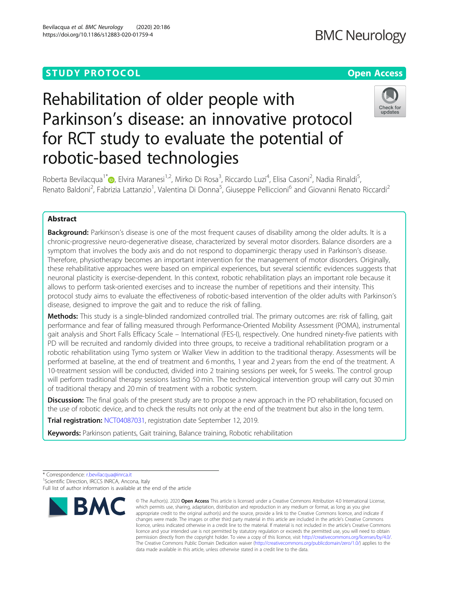## **STUDY PROTOCOL CONSUMING THE RESERVE ACCESS**

# Rehabilitation of older people with Parkinson's disease: an innovative protocol for RCT study to evaluate the potential of robotic-based technologies



Roberta Bevilacqua<sup>1[\\*](http://orcid.org/0000-0002-3851-3552)</sup>®, Elvira Maranesi<sup>1,2</sup>, Mirko Di Rosa<sup>3</sup>, Riccardo Luzi<sup>4</sup>, Elisa Casoni<sup>2</sup>, Nadia Rinaldi<sup>5</sup> , Renato Baldoni<sup>2</sup>, Fabrizia Lattanzio<sup>1</sup>, Valentina Di Donna<sup>5</sup>, Giuseppe Pelliccioni<sup>6</sup> and Giovanni Renato Riccardi<sup>2</sup>

### Abstract

**Background:** Parkinson's disease is one of the most frequent causes of disability among the older adults. It is a chronic-progressive neuro-degenerative disease, characterized by several motor disorders. Balance disorders are a symptom that involves the body axis and do not respond to dopaminergic therapy used in Parkinson's disease. Therefore, physiotherapy becomes an important intervention for the management of motor disorders. Originally, these rehabilitative approaches were based on empirical experiences, but several scientific evidences suggests that neuronal plasticity is exercise-dependent. In this context, robotic rehabilitation plays an important role because it allows to perform task-oriented exercises and to increase the number of repetitions and their intensity. This protocol study aims to evaluate the effectiveness of robotic-based intervention of the older adults with Parkinson's disease, designed to improve the gait and to reduce the risk of falling.

Methods: This study is a single-blinded randomized controlled trial. The primary outcomes are: risk of falling, gait performance and fear of falling measured through Performance-Oriented Mobility Assessment (POMA), instrumental gait analysis and Short Falls Efficacy Scale – International (FES-I), respectively. One hundred ninety-five patients with PD will be recruited and randomly divided into three groups, to receive a traditional rehabilitation program or a robotic rehabilitation using Tymo system or Walker View in addition to the traditional therapy. Assessments will be performed at baseline, at the end of treatment and 6 months, 1 year and 2 years from the end of the treatment. A 10-treatment session will be conducted, divided into 2 training sessions per week, for 5 weeks. The control group will perform traditional therapy sessions lasting 50 min. The technological intervention group will carry out 30 min of traditional therapy and 20 min of treatment with a robotic system.

Discussion: The final goals of the present study are to propose a new approach in the PD rehabilitation, focused on the use of robotic device, and to check the results not only at the end of the treatment but also in the long term.

**Trial registration: [NCT04087031](https://clinicaltrials.gov/ct2/show/NCT04087031), registration date September 12, 2019.** 

Keywords: Parkinson patients, Gait training, Balance training, Robotic rehabilitation

<sup>\*</sup> Correspondence: [r.bevilacqua@inrca.it](mailto:r.bevilacqua@inrca.it) <sup>1</sup> <sup>1</sup>Scientific Direction, IRCCS INRCA, Ancona, Italy Full list of author information is available at the end of the article



<sup>©</sup> The Author(s), 2020 **Open Access** This article is licensed under a Creative Commons Attribution 4.0 International License, which permits use, sharing, adaptation, distribution and reproduction in any medium or format, as long as you give appropriate credit to the original author(s) and the source, provide a link to the Creative Commons licence, and indicate if changes were made. The images or other third party material in this article are included in the article's Creative Commons licence, unless indicated otherwise in a credit line to the material. If material is not included in the article's Creative Commons licence and your intended use is not permitted by statutory regulation or exceeds the permitted use, you will need to obtain permission directly from the copyright holder. To view a copy of this licence, visit [http://creativecommons.org/licenses/by/4.0/.](http://creativecommons.org/licenses/by/4.0/) The Creative Commons Public Domain Dedication waiver [\(http://creativecommons.org/publicdomain/zero/1.0/](http://creativecommons.org/publicdomain/zero/1.0/)) applies to the data made available in this article, unless otherwise stated in a credit line to the data.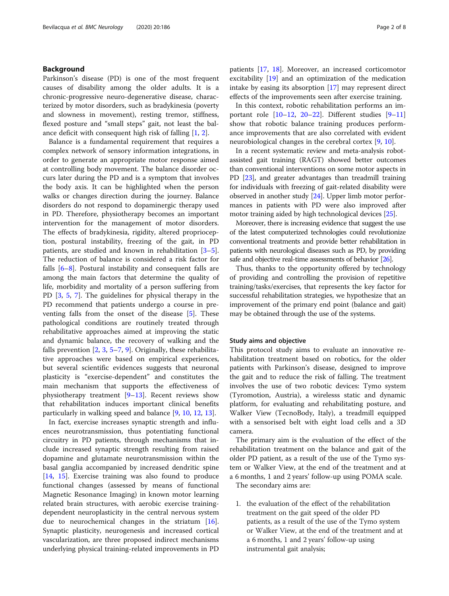#### Background

Parkinson's disease (PD) is one of the most frequent causes of disability among the older adults. It is a chronic-progressive neuro-degenerative disease, characterized by motor disorders, such as bradykinesia (poverty and slowness in movement), resting tremor, stiffness, flexed posture and "small steps" gait, not least the balance deficit with consequent high risk of falling  $[1, 2]$  $[1, 2]$  $[1, 2]$  $[1, 2]$  $[1, 2]$ .

Balance is a fundamental requirement that requires a complex network of sensory information integrations, in order to generate an appropriate motor response aimed at controlling body movement. The balance disorder occurs later during the PD and is a symptom that involves the body axis. It can be highlighted when the person walks or changes direction during the journey. Balance disorders do not respond to dopaminergic therapy used in PD. Therefore, physiotherapy becomes an important intervention for the management of motor disorders. The effects of bradykinesia, rigidity, altered proprioception, postural instability, freezing of the gait, in PD patients, are studied and known in rehabilitation [\[3](#page-6-0)–[5](#page-6-0)]. The reduction of balance is considered a risk factor for falls  $[6-8]$  $[6-8]$  $[6-8]$  $[6-8]$ . Postural instability and consequent falls are among the main factors that determine the quality of life, morbidity and mortality of a person suffering from PD [[3,](#page-6-0) [5,](#page-6-0) [7\]](#page-6-0). The guidelines for physical therapy in the PD recommend that patients undergo a course in preventing falls from the onset of the disease [[5\]](#page-6-0). These pathological conditions are routinely treated through rehabilitative approaches aimed at improving the static and dynamic balance, the recovery of walking and the falls prevention  $[2, 3, 5-7, 9]$  $[2, 3, 5-7, 9]$  $[2, 3, 5-7, 9]$  $[2, 3, 5-7, 9]$  $[2, 3, 5-7, 9]$  $[2, 3, 5-7, 9]$  $[2, 3, 5-7, 9]$  $[2, 3, 5-7, 9]$  $[2, 3, 5-7, 9]$  $[2, 3, 5-7, 9]$  $[2, 3, 5-7, 9]$ . Originally, these rehabilitative approaches were based on empirical experiences, but several scientific evidences suggests that neuronal plasticity is "exercise-dependent" and constitutes the main mechanism that supports the effectiveness of physiotherapy treatment [\[9](#page-6-0)–[13\]](#page-6-0). Recent reviews show that rehabilitation induces important clinical benefits particularly in walking speed and balance [[9,](#page-6-0) [10,](#page-6-0) [12,](#page-6-0) [13\]](#page-6-0).

In fact, exercise increases synaptic strength and influences neurotransmission, thus potentiating functional circuitry in PD patients, through mechanisms that include increased synaptic strength resulting from raised dopamine and glutamate neurotransmission within the basal ganglia accompanied by increased dendritic spine [[14,](#page-6-0) [15\]](#page-6-0). Exercise training was also found to produce functional changes (assessed by means of functional Magnetic Resonance Imaging) in known motor learning related brain structures, with aerobic exercise trainingdependent neuroplasticity in the central nervous system due to neurochemical changes in the striatum [\[16](#page-6-0)]. Synaptic plasticity, neurogenesis and increased cortical vascularization, are three proposed indirect mechanisms underlying physical training-related improvements in PD patients [[17](#page-6-0), [18\]](#page-6-0). Moreover, an increased corticomotor excitability [\[19](#page-7-0)] and an optimization of the medication intake by easing its absorption [\[17\]](#page-6-0) may represent direct effects of the improvements seen after exercise training.

In this context, robotic rehabilitation performs an important role  $[10-12, 20-22]$  $[10-12, 20-22]$  $[10-12, 20-22]$  $[10-12, 20-22]$  $[10-12, 20-22]$  $[10-12, 20-22]$  $[10-12, 20-22]$  $[10-12, 20-22]$ . Different studies  $[9-11]$  $[9-11]$  $[9-11]$  $[9-11]$  $[9-11]$ show that robotic balance training produces performance improvements that are also correlated with evident neurobiological changes in the cerebral cortex [[9,](#page-6-0) [10\]](#page-6-0).

In a recent systematic review and meta-analysis robotassisted gait training (RAGT) showed better outcomes than conventional interventions on some motor aspects in PD [[23\]](#page-7-0), and greater advantages than treadmill training for individuals with freezing of gait-related disability were observed in another study [[24](#page-7-0)]. Upper limb motor performances in patients with PD were also improved after motor training aided by high technological devices [\[25\]](#page-7-0).

Moreover, there is increasing evidence that suggest the use of the latest computerized technologies could revolutionize conventional treatments and provide better rehabilitation in patients with neurological diseases such as PD, by providing safe and objective real-time assessments of behavior [[26\]](#page-7-0).

Thus, thanks to the opportunity offered by technology of providing and controlling the provision of repetitive training/tasks/exercises, that represents the key factor for successful rehabilitation strategies, we hypothesize that an improvement of the primary end point (balance and gait) may be obtained through the use of the systems.

#### Study aims and objective

This protocol study aims to evaluate an innovative rehabilitation treatment based on robotics, for the older patients with Parkinson's disease, designed to improve the gait and to reduce the risk of falling. The treatment involves the use of two robotic devices: Tymo system (Tyromotion, Austria), a wirelesss static and dynamic platform, for evaluating and rehabilitating posture, and Walker View (TecnoBody, Italy), a treadmill equipped with a sensorised belt with eight load cells and a 3D camera.

The primary aim is the evaluation of the effect of the rehabilitation treatment on the balance and gait of the older PD patient, as a result of the use of the Tymo system or Walker View, at the end of the treatment and at a 6 months, 1 and 2 years' follow-up using POMA scale.

The secondary aims are:

1. the evaluation of the effect of the rehabilitation treatment on the gait speed of the older PD patients, as a result of the use of the Tymo system or Walker View, at the end of the treatment and at a 6 months, 1 and 2 years' follow-up using instrumental gait analysis;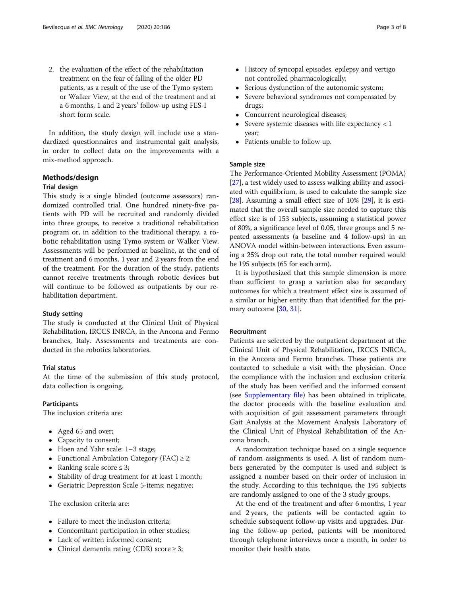2. the evaluation of the effect of the rehabilitation treatment on the fear of falling of the older PD patients, as a result of the use of the Tymo system or Walker View, at the end of the treatment and at a 6 months, 1 and 2 years' follow-up using FES-I short form scale.

In addition, the study design will include use a standardized questionnaires and instrumental gait analysis, in order to collect data on the improvements with a mix-method approach.

#### Methods/design

#### Trial design

This study is a single blinded (outcome assessors) randomized controlled trial. One hundred ninety-five patients with PD will be recruited and randomly divided into three groups, to receive a traditional rehabilitation program or, in addition to the traditional therapy, a robotic rehabilitation using Tymo system or Walker View. Assessments will be performed at baseline, at the end of treatment and 6 months, 1 year and 2 years from the end of the treatment. For the duration of the study, patients cannot receive treatments through robotic devices but will continue to be followed as outpatients by our rehabilitation department.

#### Study setting

The study is conducted at the Clinical Unit of Physical Rehabilitation, IRCCS INRCA, in the Ancona and Fermo branches, Italy. Assessments and treatments are conducted in the robotics laboratories.

#### Trial status

At the time of the submission of this study protocol, data collection is ongoing.

#### Participants

The inclusion criteria are:

- Aged 65 and over;
- Capacity to consent;
- Hoen and Yahr scale: 1–3 stage;
- Functional Ambulation Category (FAC)  $\geq$  2;
- Ranking scale score  $\leq 3$ ;
- Stability of drug treatment for at least 1 month;
- Geriatric Depression Scale 5-items: negative;

The exclusion criteria are:

- Failure to meet the inclusion criteria;
- Concomitant participation in other studies;
- Lack of written informed consent;
- Clinical dementia rating (CDR) score  $\geq$  3;
- History of syncopal episodes, epilepsy and vertigo not controlled pharmacologically;
- Serious dysfunction of the autonomic system;<br>• Severe behavioral syndromes not compensate
- Severe behavioral syndromes not compensated by drugs;
- Concurrent neurological diseases;
- Severe systemic diseases with life expectancy < 1 year;
- Patients unable to follow up.

#### Sample size

The Performance-Oriented Mobility Assessment (POMA) [[27](#page-7-0)], a test widely used to assess walking ability and associated with equilibrium, is used to calculate the sample size [[28](#page-7-0)]. Assuming a small effect size of 10% [\[29\]](#page-7-0), it is estimated that the overall sample size needed to capture this effect size is of 153 subjects, assuming a statistical power of 80%, a significance level of 0.05, three groups and 5 repeated assessments (a baseline and 4 follow-ups) in an ANOVA model within-between interactions. Even assuming a 25% drop out rate, the total number required would be 195 subjects (65 for each arm).

It is hypothesized that this sample dimension is more than sufficient to grasp a variation also for secondary outcomes for which a treatment effect size is assumed of a similar or higher entity than that identified for the primary outcome [\[30,](#page-7-0) [31\]](#page-7-0).

#### Recruitment

Patients are selected by the outpatient department at the Clinical Unit of Physical Rehabilitation, IRCCS INRCA, in the Ancona and Fermo branches. These patients are contacted to schedule a visit with the physician. Once the compliance with the inclusion and exclusion criteria of the study has been verified and the informed consent (see [Supplementary file\)](#page-6-0) has been obtained in triplicate, the doctor proceeds with the baseline evaluation and with acquisition of gait assessment parameters through Gait Analysis at the Movement Analysis Laboratory of the Clinical Unit of Physical Rehabilitation of the Ancona branch.

A randomization technique based on a single sequence of random assignments is used. A list of random numbers generated by the computer is used and subject is assigned a number based on their order of inclusion in the study. According to this technique, the 195 subjects are randomly assigned to one of the 3 study groups.

At the end of the treatment and after 6 months, 1 year and 2 years, the patients will be contacted again to schedule subsequent follow-up visits and upgrades. During the follow-up period, patients will be monitored through telephone interviews once a month, in order to monitor their health state.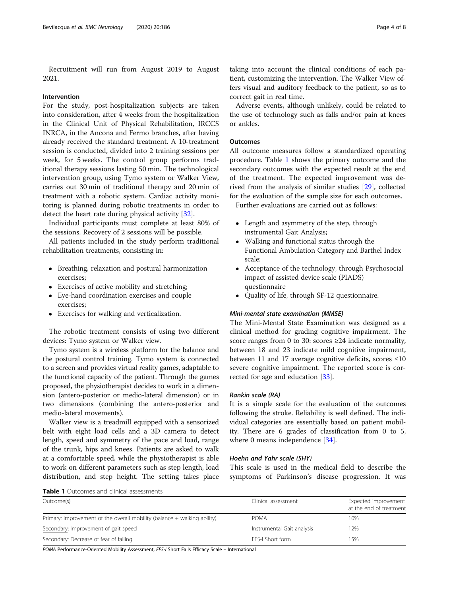Recruitment will run from August 2019 to August 2021.

#### Intervention

For the study, post-hospitalization subjects are taken into consideration, after 4 weeks from the hospitalization in the Clinical Unit of Physical Rehabilitation, IRCCS INRCA, in the Ancona and Fermo branches, after having already received the standard treatment. A 10-treatment session is conducted, divided into 2 training sessions per week, for 5 weeks. The control group performs traditional therapy sessions lasting 50 min. The technological intervention group, using Tymo system or Walker View, carries out 30 min of traditional therapy and 20 min of treatment with a robotic system. Cardiac activity monitoring is planned during robotic treatments in order to detect the heart rate during physical activity [\[32](#page-7-0)].

Individual participants must complete at least 80% of the sessions. Recovery of 2 sessions will be possible.

All patients included in the study perform traditional rehabilitation treatments, consisting in:

- Breathing, relaxation and postural harmonization exercises;
- Exercises of active mobility and stretching;
- Eye-hand coordination exercises and couple exercises;
- Exercises for walking and verticalization.

The robotic treatment consists of using two different devices: Tymo system or Walker view.

Tymo system is a wireless platform for the balance and the postural control training. Tymo system is connected to a screen and provides virtual reality games, adaptable to the functional capacity of the patient. Through the games proposed, the physiotherapist decides to work in a dimension (antero-posterior or medio-lateral dimension) or in two dimensions (combining the antero-posterior and medio-lateral movements).

Walker view is a treadmill equipped with a sensorized belt with eight load cells and a 3D camera to detect length, speed and symmetry of the pace and load, range of the trunk, hips and knees. Patients are asked to walk at a comfortable speed, while the physiotherapist is able to work on different parameters such as step length, load distribution, and step height. The setting takes place

taking into account the clinical conditions of each patient, customizing the intervention. The Walker View offers visual and auditory feedback to the patient, so as to correct gait in real time.

Adverse events, although unlikely, could be related to the use of technology such as falls and/or pain at knees or ankles.

#### **Outcomes**

All outcome measures follow a standardized operating procedure. Table 1 shows the primary outcome and the secondary outcomes with the expected result at the end of the treatment. The expected improvement was derived from the analysis of similar studies [\[29](#page-7-0)], collected for the evaluation of the sample size for each outcomes.

Further evaluations are carried out as follows:

- Length and asymmetry of the step, through instrumental Gait Analysis;
- Walking and functional status through the Functional Ambulation Category and Barthel Index scale;
- Acceptance of the technology, through Psychosocial impact of assisted device scale (PIADS) questionnaire
- Quality of life, through SF-12 questionnaire.

#### Mini-mental state examination (MMSE)

The Mini-Mental State Examination was designed as a clinical method for grading cognitive impairment. The score ranges from 0 to 30: scores ≥24 indicate normality, between 18 and 23 indicate mild cognitive impairment, between 11 and 17 average cognitive deficits, scores  $\leq 10$ severe cognitive impairment. The reported score is corrected for age and education [\[33\]](#page-7-0).

#### Rankin scale (RA)

It is a simple scale for the evaluation of the outcomes following the stroke. Reliability is well defined. The individual categories are essentially based on patient mobility. There are 6 grades of classification from 0 to 5, where 0 means independence [[34\]](#page-7-0).

#### Hoehn and Yahr scale (SHY)

This scale is used in the medical field to describe the symptoms of Parkinson's disease progression. It was

Table 1 Outcomes and clinical assessments

| Clinical assessment        | Expected improvement<br>at the end of treatment |
|----------------------------|-------------------------------------------------|
| <b>POMA</b>                | 10%                                             |
| Instrumental Gait analysis | 12%                                             |
| FFS-I Short form           | 15%                                             |
|                            |                                                 |

POMA Performance-Oriented Mobility Assessment, FES-I Short Falls Efficacy Scale - International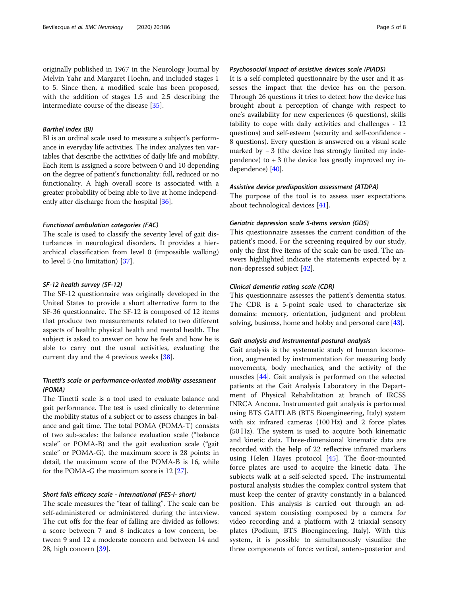originally published in 1967 in the Neurology Journal by Melvin Yahr and Margaret Hoehn, and included stages 1 to 5. Since then, a modified scale has been proposed, with the addition of stages 1.5 and 2.5 describing the intermediate course of the disease [\[35\]](#page-7-0).

#### Barthel index (BI)

BI is an ordinal scale used to measure a subject's performance in everyday life activities. The index analyzes ten variables that describe the activities of daily life and mobility. Each item is assigned a score between 0 and 10 depending on the degree of patient's functionality: full, reduced or no functionality. A high overall score is associated with a greater probability of being able to live at home independently after discharge from the hospital [\[36\]](#page-7-0).

#### Functional ambulation categories (FAC)

The scale is used to classify the severity level of gait disturbances in neurological disorders. It provides a hierarchical classification from level 0 (impossible walking) to level 5 (no limitation) [[37\]](#page-7-0).

#### SF-12 health survey (SF-12)

The SF-12 questionnaire was originally developed in the United States to provide a short alternative form to the SF-36 questionnaire. The SF-12 is composed of 12 items that produce two measurements related to two different aspects of health: physical health and mental health. The subject is asked to answer on how he feels and how he is able to carry out the usual activities, evaluating the current day and the 4 previous weeks [\[38](#page-7-0)].

#### Tinetti's scale or performance-oriented mobility assessment (POMA)

The Tinetti scale is a tool used to evaluate balance and gait performance. The test is used clinically to determine the mobility status of a subject or to assess changes in balance and gait time. The total POMA (POMA-T) consists of two sub-scales: the balance evaluation scale ("balance scale" or POMA-B) and the gait evaluation scale ("gait scale" or POMA-G). the maximum score is 28 points: in detail, the maximum score of the POMA-B is 16, while for the POMA-G the maximum score is 12 [[27](#page-7-0)].

#### Short falls efficacy scale - international (FES-I- short)

The scale measures the "fear of falling". The scale can be self-administered or administered during the interview. The cut offs for the fear of falling are divided as follows: a score between 7 and 8 indicates a low concern, between 9 and 12 a moderate concern and between 14 and 28, high concern [\[39](#page-7-0)].

#### Psychosocial impact of assistive devices scale (PIADS)

It is a self-completed questionnaire by the user and it assesses the impact that the device has on the person. Through 26 questions it tries to detect how the device has brought about a perception of change with respect to one's availability for new experiences (6 questions), skills (ability to cope with daily activities and challenges - 12 questions) and self-esteem (security and self-confidence - 8 questions). Every question is answered on a visual scale marked by − 3 (the device has strongly limited my independence) to  $+3$  (the device has greatly improved my independence) [\[40\]](#page-7-0).

#### Assistive device predisposition assessment (ATDPA)

The purpose of the tool is to assess user expectations about technological devices [\[41\]](#page-7-0).

#### Geriatric depression scale 5-items version (GDS)

This questionnaire assesses the current condition of the patient's mood. For the screening required by our study, only the first five items of the scale can be used. The answers highlighted indicate the statements expected by a non-depressed subject [[42\]](#page-7-0).

#### Clinical dementia rating scale (CDR)

This questionnaire assesses the patient's dementia status. The CDR is a 5-point scale used to characterize six domains: memory, orientation, judgment and problem solving, business, home and hobby and personal care [[43](#page-7-0)].

#### Gait analysis and instrumental postural analysis

Gait analysis is the systematic study of human locomotion, augmented by instrumentation for measuring body movements, body mechanics, and the activity of the muscles [[44\]](#page-7-0). Gait analysis is performed on the selected patients at the Gait Analysis Laboratory in the Department of Physical Rehabilitation at branch of IRCSS INRCA Ancona. Instrumented gait analysis is performed using BTS GAITLAB (BTS Bioengineering, Italy) system with six infrared cameras (100 Hz) and 2 force plates (50 Hz). The system is used to acquire both kinematic and kinetic data. Three-dimensional kinematic data are recorded with the help of 22 reflective infrared markers using Helen Hayes protocol [[45\]](#page-7-0). The floor-mounted force plates are used to acquire the kinetic data. The subjects walk at a self-selected speed. The instrumental postural analysis studies the complex control system that must keep the center of gravity constantly in a balanced position. This analysis is carried out through an advanced system consisting composed by a camera for video recording and a platform with 2 triaxial sensory plates (Podium, BTS Bioengineering, Italy). With this system, it is possible to simultaneously visualize the three components of force: vertical, antero-posterior and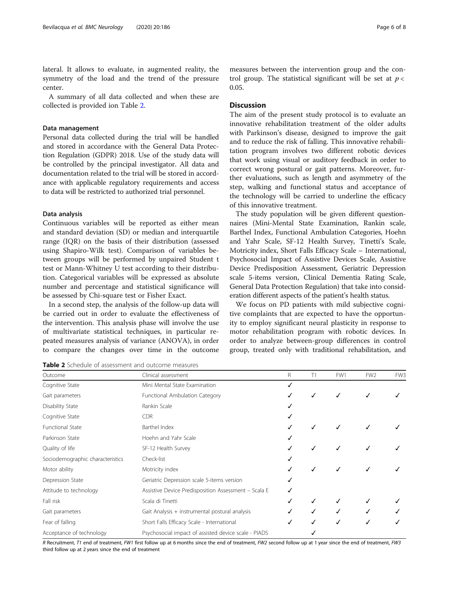lateral. It allows to evaluate, in augmented reality, the symmetry of the load and the trend of the pressure center.

A summary of all data collected and when these are collected is provided ion Table 2.

#### Data management

Personal data collected during the trial will be handled and stored in accordance with the General Data Protection Regulation (GDPR) 2018. Use of the study data will be controlled by the principal investigator. All data and documentation related to the trial will be stored in accordance with applicable regulatory requirements and access to data will be restricted to authorized trial personnel.

#### Data analysis

Continuous variables will be reported as either mean and standard deviation (SD) or median and interquartile range (IQR) on the basis of their distribution (assessed using Shapiro-Wilk test). Comparison of variables between groups will be performed by unpaired Student t test or Mann-Whitney U test according to their distribution. Categorical variables will be expressed as absolute number and percentage and statistical significance will be assessed by Chi-square test or Fisher Exact.

In a second step, the analysis of the follow-up data will be carried out in order to evaluate the effectiveness of the intervention. This analysis phase will involve the use of multivariate statistical techniques, in particular repeated measures analysis of variance (ANOVA), in order to compare the changes over time in the outcome

Table 2 Schedule of assessment and outcome measures

measures between the intervention group and the control group. The statistical significant will be set at  $p <$ 0.05.

#### **Discussion**

The aim of the present study protocol is to evaluate an innovative rehabilitation treatment of the older adults with Parkinson's disease, designed to improve the gait and to reduce the risk of falling. This innovative rehabilitation program involves two different robotic devices that work using visual or auditory feedback in order to correct wrong postural or gait patterns. Moreover, further evaluations, such as length and asymmetry of the step, walking and functional status and acceptance of the technology will be carried to underline the efficacy of this innovative treatment.

The study population will be given different questionnaires (Mini-Mental State Examination, Rankin scale, Barthel Index, Functional Ambulation Categories, Hoehn and Yahr Scale, SF-12 Health Survey, Tinetti's Scale, Motricity index, Short Falls Efficacy Scale – International, Psychosocial Impact of Assistive Devices Scale, Assistive Device Predisposition Assessment, Geriatric Depression scale 5-items version, Clinical Dementia Rating Scale, General Data Protection Regulation) that take into consideration different aspects of the patient's health status.

We focus on PD patients with mild subjective cognitive complaints that are expected to have the opportunity to employ significant neural plasticity in response to motor rehabilitation program with robotic devices. In order to analyze between-group differences in control group, treated only with traditional rehabilitation, and

| Outcome                          | Clinical assessment                                  | R | T1 | FW1 | FW <sub>2</sub> | FW3 |
|----------------------------------|------------------------------------------------------|---|----|-----|-----------------|-----|
| Cognitive State                  | Mini Mental State Examination                        |   |    |     |                 |     |
| Gait parameters                  | Functional Ambulation Category                       |   |    |     |                 |     |
| Disability State                 | Rankin Scale                                         |   |    |     |                 |     |
| Cognitive State                  | <b>CDR</b>                                           |   |    |     |                 |     |
| Functional State                 | Barthel Index                                        |   |    |     |                 |     |
| Parkinson State                  | Hoehn and Yahr Scale                                 |   |    |     |                 |     |
| Quality of life                  | SF-12 Health Survey                                  |   |    |     |                 |     |
| Sociodemographic characteristics | Check-list                                           |   |    |     |                 |     |
| Motor ability                    | Motricity index                                      |   | √  |     |                 |     |
| Depression State                 | Geriatric Depression scale 5-items version           |   |    |     |                 |     |
| Attitude to technology           | Assistive Device Predisposition Assessment - Scala E |   |    |     |                 |     |
| Fall risk                        | Scala di Tinetti                                     | ✓ |    |     |                 |     |
| Gait parameters                  | Gait Analysis + instrumental postural analysis       |   |    |     |                 |     |
| Fear of falling                  | Short Falls Efficacy Scale - International           | ✓ | √  |     |                 |     |
| Acceptance of technology         | Psychosocial impact of assisted device scale - PIADS |   |    |     |                 |     |

R Recruitment, T1 end of treatment, FW1 first follow up at 6 months since the end of treatment, FW2 second follow up at 1 year since the end of treatment, FW3 third follow up at 2 years since the end of treatment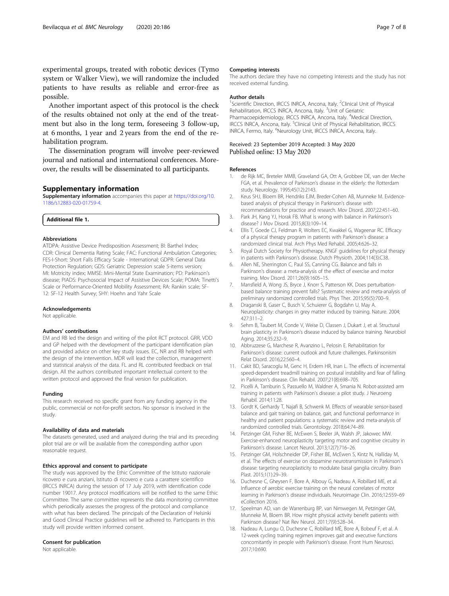<span id="page-6-0"></span>experimental groups, treated with robotic devices (Tymo system or Walker View), we will randomize the included patients to have results as reliable and error-free as possible.

Another important aspect of this protocol is the check of the results obtained not only at the end of the treatment but also in the long term, foreseeing 3 follow-up, at 6 months, 1 year and 2 years from the end of the rehabilitation program.

The dissemination program will involve peer-reviewed journal and national and international conferences. Moreover, the results will be disseminated to all participants.

#### Supplementary information

Supplementary information accompanies this paper at [https://doi.org/10.](https://doi.org/10.1186/s12883-020-01759-4) [1186/s12883-020-01759-4](https://doi.org/10.1186/s12883-020-01759-4).

Additional file 1.

#### Abbreviations

ATDPA: Assistive Device Predisposition Assessment; BI: Barthel Index; CDR: Clinical Dementia Rating Scale; FAC: Functional Ambulation Categories; FES-I-Short: Short Falls Efficacy Scale - International; GDPR: General Data Protection Regulation; GDS: Geriatric Depression scale 5-items version; MI: Motricity index; MMSE: Mini-Mental State Examination; PD: Parkinson's disease; PIADS: Psychosocial Impact of Assistive Devices Scale; POMA: Tinetti's Scale or Performance-Oriented Mobility Assessment; RA: Rankin scale; SF-12: SF-12 Health Survey; SHY: Hoehn and Yahr Scale

#### Acknowledgements

Not applicable.

#### Authors' contributions

EM and RB led the design and writing of the pilot RCT protocol. GRR, VDD and GP helped with the development of the participant identification plan and provided advice on other key study issues. EC, NR and RB helped with the design of the intervention. MDR will lead the collection, management and statistical analysis of the data. FL and RL contributed feedback on trial design. All the authors contributed important intellectual content to the written protocol and approved the final version for publication.

#### Funding

This research received no specific grant from any funding agency in the public, commercial or not-for-profit sectors. No sponsor is involved in the study.

#### Availability of data and materials

The datasets generated, used and analyzed during the trial and its preceding pilot trial are or will be available from the corresponding author upon reasonable request.

#### Ethics approval and consent to participate

The study was approved by the Ethic Committee of the Istituto nazionale ricovero e cura anziani, Istituto di ricovero e cura a carattere scientifico (IRCCS INRCA) during the session of 17 July 2019, with identification code number 19017. Any protocol modifications will be notified to the same Ethic Committee. The same committee represents the data monitoring committee which periodically assesses the progress of the protocol and compliance with what has been declared. The principals of the Declaration of Helsinki and Good Clinical Practice guidelines will be adhered to. Participants in this study will provide written informed consent.

#### Consent for publication

Not applicable.

#### Competing interests

The authors declare they have no competing interests and the study has not received external funding.

#### Author details

<sup>1</sup>Scientific Direction, IRCCS INRCA, Ancona, Italy. <sup>2</sup>Clinical Unit of Physical Rehabilitation, IRCCS INRCA, Ancona, Italy. <sup>3</sup>Unit of Geriatric Pharmacoepidemiology, IRCCS INRCA, Ancona, Italy. <sup>4</sup>Medical Direction, IRCCS INRCA, Ancona, Italy. <sup>5</sup>Clinical Unit of Physical Rehabilitation, IRCCS INRCA, Fermo, Italy. <sup>6</sup>Neurology Unit, IRCCS INRCA, Ancona, Italy.

#### Received: 23 September 2019 Accepted: 3 May 2020 Published online: 13 May 2020

#### References

- 1. de Rijk MC, Breteler MMB, Graveland GA, Ott A, Grobbee DE, van der Meche FGA, et al. Prevalence of Parkinson's disease in the elderly: the Rotterdam study. Neurology. 1995;45(12):2143.
- 2. Keus SHJ, Bloem BR, Hendriks EJM, Breder-Cohen AB, Munneke M. Evidencebased analysis of physical therapy in Parkinson's disease with recommendations for practice and research. Mov Disord. 2007;22:451–60.
- 3. Park JH, Kang YJ, Horak FB. What is wrong with balance in Parkinson's disease? J Mov Disord. 2015;8(3):109–14.
- 4. Ellis T, Goede CJ, Feldman R, Wolters EC, Kwakkel G, Wageenar RC. Efficacy of a physical therapy program in patients with Parkinson's disease: a randomized clinical trial. Arch Phys Med Rehabil. 2005;4:626–32.
- 5. Royal Dutch Society for Physiotherapy. KNGF guidelines for physical therapy in patients with Parkinson's disease. Dutch Physioth. 2004;114(3):C38.
- 6. Allen NE, Sherrington C, Paul SS, Canning CG. Balance and falls in Parkinson's disease: a meta-analysis of the effect of exercise and motor training. Mov Disord. 2011;26(9):1605–15.
- 7. Mansfield A, Wong JS, Bryce J, Knorr S, Patterson KK. Does perturbationbased balance training prevent falls? Systematic review and meta-analysis of preliminary randomized controlled trials. Phys Ther. 2015;95(5):700–9.
- 8. Draganski B, Gaser C, Busch V, Schuierer G, Bogdahn U, May A. Neuroplasticity: changes in grey matter induced by training. Nature. 2004; 427:311–2.
- 9. Sehm B, Taubert M, Conde V, Weise D, Classen J, Dukart J, et al. Structural brain plasticity in Parkinson's disease induced by balance training. Neurobiol Aging. 2014;35:232–9.
- 10. Abbruzzese G, Marchese R, Avanzino L, Pelosin E. Rehabilitation for Parkinson's disease: current outlook and future challenges. Parkinsonism Relat Disord. 2016;22:560–4.
- 11. Cakit BD, Saracoglu M, Genc H, Erdem HR, Inan L. The effects of incremental speed-dependent treadmill training on postural instability and fear of falling in Parkinson's disease. Clin Rehabil. 2007;21(8):698–705.
- 12. Picelli A, Tamburin S, Passuello M, Waldner A, Smania N. Robot-assisted arm training in patients with Parkinson's disease: a pilot study. J Neuroeng Rehabil. 2014;11:28.
- 13. Gordt K, Gerhardy T, Najafi B, Schwenk M. Effects of wearable sensor-based balance and gait training on balance, gait, and functional performance in healthy and patient populations: a systematic review and meta-analysis of randomized controlled trials. Gerontology. 2018;64:74–89.
- 14. Petzinger GM, Fisher BE, McEwen S, Beeler JA, Walsh JP, Jakowec MW. Exercise-enhanced neuroplasticity targeting motor and cognitive circuitry in Parkinson's disease. Lancet Neurol. 2013;12(7):716–26.
- 15. Petzinger GM, Holschneider DP, Fisher BE, McEwen S, Kintz N, Halliday M, et al. The effects of exercise on dopamine neurotransmission in Parkinson's disease: targeting neuroplasticity to modulate basal ganglia circuitry. Brain Plast. 2015;1(1):29–39.
- 16. Duchesne C, Gheysen F, Bore A, Albouy G, Nadeau A, Robillard ME, et al. Influence of aerobic exercise training on the neural correlates of motor learning in Parkinson's disease individuals. Neuroimage Clin. 2016;12:559–69 eCollection 2016.
- 17. Speelman AD, van de Warrenburg BP, van Nimwegen M, Petzinger GM, Munneke M, Bloem BR. How might physical activity benefit patients with Parkinson disease? Nat Rev Neurol. 2011;7(9):528–34.
- 18. Nadeau A, Lungu O, Duchesne C, Robillard MÈ, Bore A, Bobeuf F, et al. A 12-week cycling training regimen improves gait and executive functions concomitantly in people with Parkinson's disease. Front Hum Neurosci. 2017;10:690.